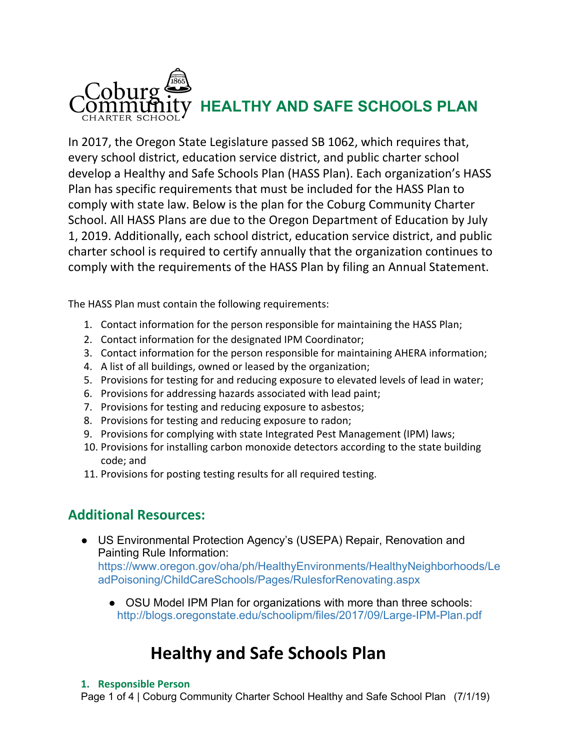

In 2017, the Oregon State Legislature passed SB 1062, which requires that, every school district, education service district, and public charter school develop a Healthy and Safe Schools Plan (HASS Plan). Each organization's HASS Plan has specific requirements that must be included for the HASS Plan to comply with state law. Below is the plan for the Coburg Community Charter School. All HASS Plans are due to the Oregon Department of Education by July 1, 2019. Additionally, each school district, education service district, and public charter school is required to certify annually that the organization continues to comply with the requirements of the HASS Plan by filing an Annual Statement.

The HASS Plan must contain the following requirements:

- 1. Contact information for the person responsible for maintaining the HASS Plan;
- 2. Contact information for the designated IPM Coordinator;
- 3. Contact information for the person responsible for maintaining AHERA information;
- 4. A list of all buildings, owned or leased by the organization;
- 5. Provisions for testing for and reducing exposure to elevated levels of lead in water;
- 6. Provisions for addressing hazards associated with lead paint;
- 7. Provisions for testing and reducing exposure to asbestos;
- 8. Provisions for testing and reducing exposure to radon;
- 9. Provisions for complying with state Integrated Pest Management (IPM) laws;
- 10. Provisions for installing carbon monoxide detectors according to the state building code; and
- 11. Provisions for posting testing results for all required testing.

## **Additional Resources:**

● US Environmental Protection Agency's (USEPA) Repair, Renovation and Painting Rule Information:

[https://www.oregon.gov/oha/ph/HealthyEnvironments/HealthyNeighborhoods/Le](https://www.oregon.gov/oha/ph/HealthyEnvironments/HealthyNeighborhoods/LeadPoisoning/ChildCareSchools/Pages/RulesforRenovating.aspx) [adPoisoning/ChildCareSchools/Pages/RulesforRenovating.aspx](https://www.oregon.gov/oha/ph/HealthyEnvironments/HealthyNeighborhoods/LeadPoisoning/ChildCareSchools/Pages/RulesforRenovating.aspx)

• OSU Model IPM Plan for organizations with more than three schools: <http://blogs.oregonstate.edu/schoolipm/files/2017/09/Large-IPM-Plan.pdf>

# **Healthy and Safe Schools Plan**

#### **1. Responsible Person**

Page 1 of 4 | Coburg Community Charter School Healthy and Safe School Plan (7/1/19)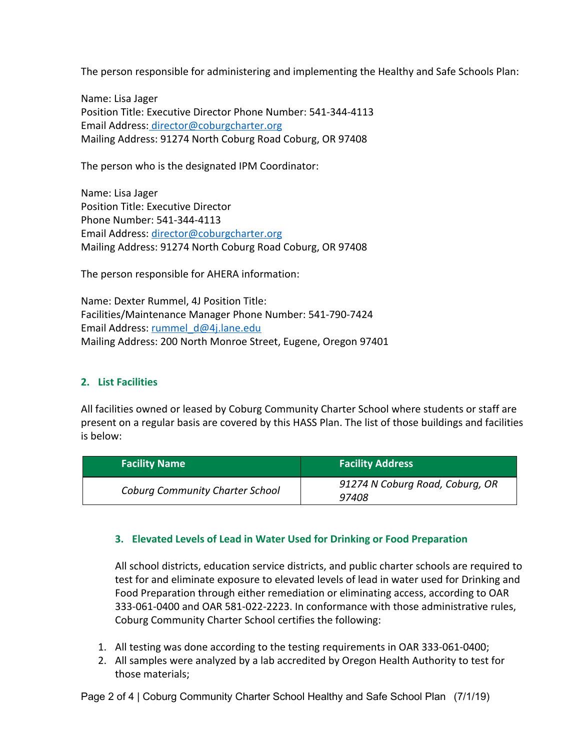The person responsible for administering and implementing the Healthy and Safe Schools Plan:

Name: Lisa Jager Position Title: Executive Director Phone Number: 541-344-4113 Email Address: [director@coburgcharter.org](mailto:director@coburgcharter.org) Mailing Address: 91274 North Coburg Road Coburg, OR 97408

The person who is the designated IPM Coordinator:

Name: Lisa Jager Position Title: Executive Director Phone Number: 541-344-4113 Email Address: [director@coburgcharter.org](mailto:director@coburgcharter.org) Mailing Address: 91274 North Coburg Road Coburg, OR 97408

The person responsible for AHERA information:

Name: Dexter Rummel, 4J Position Title: Facilities/Maintenance Manager Phone Number: 541-790-7424 Email Address: [rummel\\_d@4j.lane.edu](mailto:rummel_d@4j.lane.edu) Mailing Address: 200 North Monroe Street, Eugene, Oregon 97401

### **2. List Facilities**

All facilities owned or leased by Coburg Community Charter School where students or staff are present on a regular basis are covered by this HASS Plan. The list of those buildings and facilities is below:

| <b>Facility Name</b>                   | <b>Facility Address</b>                  |
|----------------------------------------|------------------------------------------|
| <b>Coburg Community Charter School</b> | 91274 N Coburg Road, Coburg, OR<br>97408 |

### **3. Elevated Levels of Lead in Water Used for Drinking or Food Preparation**

All school districts, education service districts, and public charter schools are required to test for and eliminate exposure to elevated levels of lead in water used for Drinking and Food Preparation through either remediation or eliminating access, according to OAR 333-061-0400 and OAR 581-022-2223. In conformance with those administrative rules, Coburg Community Charter School certifies the following:

- 1. All testing was done according to the testing requirements in OAR 333-061-0400;
- 2. All samples were analyzed by a lab accredited by Oregon Health Authority to test for those materials;

Page 2 of 4 | Coburg Community Charter School Healthy and Safe School Plan (7/1/19)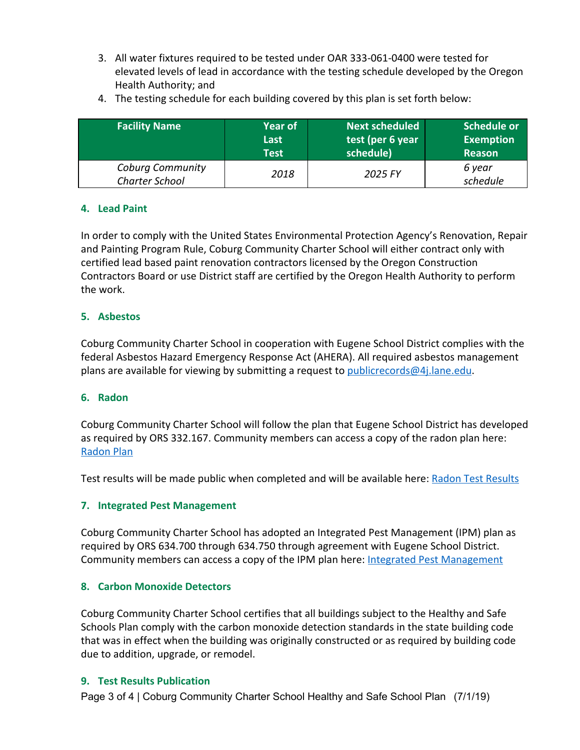3. All water fixtures required to be tested under OAR 333-061-0400 were tested for elevated levels of lead in accordance with the testing schedule developed by the Oregon Health Authority; and

| <b>Facility Name</b>                             | lYear of I  | <b>Next scheduled</b> | Schedule or        |
|--------------------------------------------------|-------------|-----------------------|--------------------|
|                                                  | Last        | test (per 6 year      | <b>Exemption</b>   |
|                                                  | <b>Test</b> | schedule)             | <b>Reason</b>      |
| <b>Coburg Community</b><br><b>Charter School</b> | 2018        | 2025 FY               | 6 year<br>schedule |

4. The testing schedule for each building covered by this plan is set forth below:

### **4. Lead Paint**

In order to comply with the United States Environmental Protection Agency's Renovation, Repair and Painting Program Rule, Coburg Community Charter School will either contract only with certified lead based paint renovation contractors licensed by the Oregon Construction Contractors Board or use District staff are certified by the Oregon Health Authority to perform the work.

### **5. Asbestos**

Coburg Community Charter School in cooperation with Eugene School District complies with the federal Asbestos Hazard Emergency Response Act (AHERA). All required asbestos management plans are available for viewing by submitting a request to publicrecords $@4$ . lane.edu.

### **6. Radon**

Coburg Community Charter School will follow the plan that Eugene School District has developed as required by ORS 332.167. Community members can access a copy of the radon plan here: [Radon Plan](https://www.4j.lane.edu/wp-content/uploads/2019/01/Radon-Plan-R2-Eugene-School-District-4J-12.28.18-1.pdf)

Test results will be made public when completed and will be available here: [Radon Test Results](https://docs.wixstatic.com/ugd/90b0f3_ff074420c4b14254bbf1d6f35220e2c5.pdf)

### **7. Integrated Pest Management**

Coburg Community Charter School has adopted an Integrated Pest Management (IPM) plan as required by ORS 634.700 through 634.750 through agreement with Eugene School District. Community members can access a copy of the IPM plan here: [Integrated Pest Management](http://www.4j.lane.edu/facilities/healthyschools)

### **8. Carbon Monoxide Detectors**

Coburg Community Charter School certifies that all buildings subject to the Healthy and Safe Schools Plan comply with the carbon monoxide detection standards in the state building code that was in effect when the building was originally constructed or as required by building code due to addition, upgrade, or remodel.

### **9. Test Results Publication**

Page 3 of 4 | Coburg Community Charter School Healthy and Safe School Plan (7/1/19)